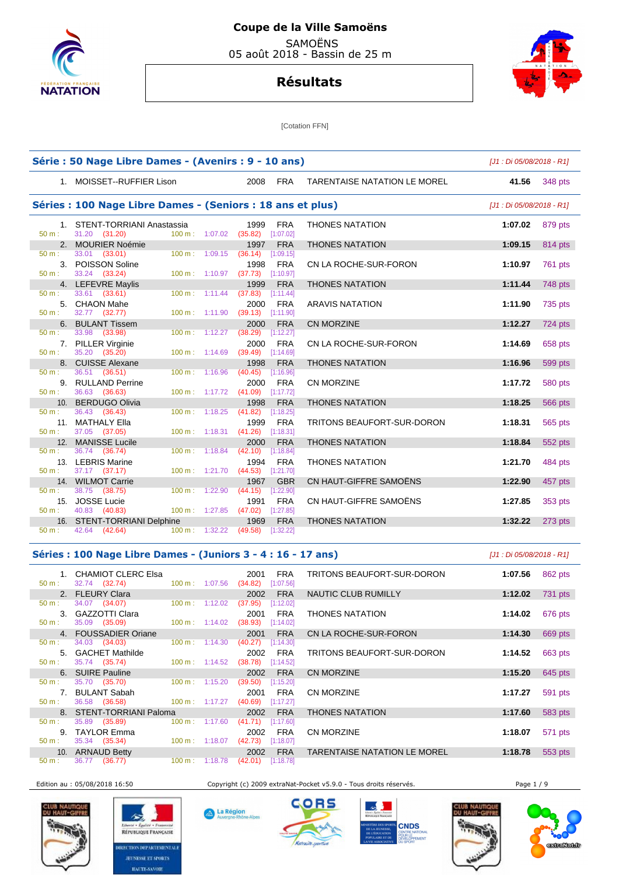



[Cotation FFN]

|                   | Série : 50 Nage Libre Dames - (Avenirs : 9 - 10 ans)                                  |                                                                     |                                     | [J1 : Di 05/08/2018 - R1] |         |
|-------------------|---------------------------------------------------------------------------------------|---------------------------------------------------------------------|-------------------------------------|---------------------------|---------|
|                   | 1. MOISSET--RUFFIER Lison                                                             | 2008<br><b>FRA</b>                                                  | <b>TARENTAISE NATATION LE MOREL</b> | 41.56                     | 348 pts |
|                   | Séries : 100 Nage Libre Dames - (Seniors : 18 ans et plus)                            |                                                                     |                                     | [J1 : Di 05/08/2018 - R1] |         |
| 50 m:             | 1. STENT-TORRIANI Anastassia<br>31.20 (31.20)                                         | <b>FRA</b><br>1999<br>100 m: 1:07.02 (35.82) [1:07.02]              | <b>THONES NATATION</b>              | 1:07.02                   | 879 pts |
|                   | 2. MOURIER Noémie                                                                     | 1997<br><b>FRA</b>                                                  | <b>THONES NATATION</b>              | 1:09.15                   | 814 pts |
| $50 \text{ m}$ :  | 33.01 (33.01)                                                                         | $100 \text{ m}: 1:09.15$ (36.14)<br>[1:09.15]                       |                                     |                           |         |
| 50 m:             | 3. POISSON Soline<br>33.24 (33.24)                                                    | 1998<br><b>FRA</b><br>100 m: 1:10.97 (37.73) [1:10.97]              | CN LA ROCHE-SUR-FORON               | 1:10.97                   | 761 pts |
|                   | 4. LEFEVRE Maylis                                                                     | 1999<br><b>FRA</b>                                                  | <b>THONES NATATION</b>              | 1:11.44                   | 748 pts |
| 50 m:<br>$50 m$ : | $33.61$ (33.61)<br>100 m: 1:11.44<br>5. CHAON Mahe<br>32.77 (32.77)<br>100 m: 1:11.90 | (37.83)<br>[1:11.44]<br><b>FRA</b><br>2000<br>$(39.13)$ [1:11.90]   | <b>ARAVIS NATATION</b>              | 1:11.90                   | 735 pts |
|                   | 6. BULANT Tissem                                                                      | <b>FRA</b><br>2000                                                  | <b>CN MORZINE</b>                   | 1:12.27                   | 724 pts |
| $50 m$ :          | 33.98 (33.98)<br>100 m: 1:12.27                                                       | (38.29)<br>[1:12.27]                                                |                                     |                           |         |
| $50 m$ :          | 7. PILLER Virginie<br>35.20 (35.20)                                                   | <b>FRA</b><br>2000<br>$100 \text{ m}: 1:14.69$ (39.49)<br>[1:14.69] | CN LA ROCHE-SUR-FORON               | 1:14.69                   | 658 pts |
|                   | 8. CUISSE Alexane                                                                     | 1998<br><b>FRA</b>                                                  | <b>THONES NATATION</b>              | 1:16.96                   | 599 pts |
| $50 m$ :          | 36.51 (36.51)<br>$100 \text{ m}$ : 1:16.96                                            | (40.45)<br>[1:16.96]                                                |                                     |                           |         |
| $50 m$ :          | 9. RULLAND Perrine<br>36.63 (36.63)                                                   | <b>FRA</b><br>2000<br>100 m: 1:17.72 (41.09)<br>[1:17.72]           | CN MORZINE                          | 1:17.72                   | 580 pts |
|                   | 10. BERDUGO Olivia                                                                    | <b>FRA</b><br>1998                                                  | <b>THONES NATATION</b>              | 1:18.25                   | 566 pts |
| $50 m$ :          | 36.43 (36.43)<br>$100 \text{ m}$ : 1:18.25                                            | (41.82)<br>[1:18.25]                                                |                                     |                           |         |
|                   | 11. MATHALY Ella                                                                      | <b>FRA</b><br>1999                                                  | <b>TRITONS BEAUFORT-SUR-DORON</b>   | 1:18.31                   | 565 pts |
| 50 m:             | 37.05 (37.05)<br>$100 m$ : 1:18.31                                                    | (41.26)<br>[1:18.31]                                                |                                     |                           |         |
|                   | 12. MANISSE Lucile                                                                    | <b>FRA</b><br>2000                                                  | <b>THONES NATATION</b>              | 1:18.84                   | 552 pts |
| 50 m:             | 100 m: 1:18.84<br>36.74 (36.74)                                                       | (42.10)<br>[1:18.84]                                                |                                     |                           |         |
| 50 m:             | 13. LEBRIS Marine<br>37.17 (37.17)                                                    | 1994<br><b>FRA</b><br>$100 \text{ m}: 1:21.70 (44.53)$<br>[1:21.70] | <b>THONES NATATION</b>              | 1:21.70                   | 484 pts |
|                   | 14. WILMOT Carrie                                                                     | 1967<br><b>GBR</b>                                                  | CN HAUT-GIFFRE SAMOËNS              | 1:22.90                   | 457 pts |
| 50 m:             | 100 m: 1:22.90<br>38.75 (38.75)                                                       | (44.15)<br>[1:22.90]                                                |                                     |                           |         |
|                   | 15. JOSSE Lucie                                                                       | <b>FRA</b><br>1991                                                  | CN HAUT-GIFFRE SAMOËNS              | 1:27.85                   | 353 pts |
| $50 m$ :          | 40.83 (40.83)<br>100 m: 1:27.85                                                       | (47.02)<br>[1:27.85]                                                |                                     |                           |         |
| 50 m:             | 16. STENT-TORRIANI Delphine<br>42.64 (42.64)                                          | <b>FRA</b><br>1969<br>100 m: 1:32.22 (49.58) [1:32.22]              | <b>THONES NATATION</b>              | 1:32.22                   | 273 pts |
|                   |                                                                                       |                                                                     |                                     |                           |         |

### **Séries : 100 Nage Libre Dames - (Juniors 3 - 4 : 16 - 17 ans)** [J1 : Di 05/08/2018 - R1]

1. CHAMIOT CLERC Elsa 2001 FRA<br>
50 m : 32.74 **(32.74)** 100 m : 1:07.56 **(34.82)** [1:07.56] 32.74 (32.74) 2. FLEURY Clara 2002 FRA<br>  $\frac{2002}{100 \text{ m}}$   $\frac{2002}{37.95}$   $\frac{1}{2}$  ptss and  $\frac{2002}{100 \text{ m}}$   $\frac{2002}{37.95}$   $\frac{1}{2}$  ptss and  $\frac{2002}{100 \text{ m}}$   $\frac{2002}{37.95}$   $\frac{1}{2}$  ptss and  $\frac{2002}{100 \text{ m}}$   $\frac{2002}{37.$ 34.07 (34.07) 50 m : 35.09 (35.09) 100 m : 1:14.02 (38.93) [1:14.02] **4. FOUSSADIER Oriane** 2001 FRA 50 m : 34.03 (34.03) 100 m : 1:14.30 (40.27) [1:14.30] 50 m : 34.03 (34.03) 100 m : 1:14.30 (40.27) [1:14.30] 5. GACHET Mathilde 2002 FRA **50 m**: 35.74 (35.74) 100 m: 1:14.52 (38.78) [1:14.52]  $(38.78)$  [1:14.52] **6. SUIRE Pauline 2002 FRA**<br> **100 m**: 1:15.20 **(39.50)** [1:15.20] 50 m : 35.70 (35.70) 100 m : 1:15.20 (39.50) [1:15.20] 7. BULANT Sabah 2001 FRA<br>2001 FRA (36.58) 100 m: 1:17.27 (40.69) [1:17.27] 50 m : 36.58 (36.58) 100 m : 1:17.27 (40.69) 8. STENT-TORRIANI Paloma 2002 FRA<br>  $\frac{50 \text{ m}}{2}$ : 35.89 (35.89) 100 m: 1:17.60 (41.71) [1:17.60] 35.89 (35.89) 100 m : 1:17.60 (41.71) 9. TAYLOR Emma 2002 FRA 2002 FRA 50 m : 35.34 (35.34) 100 m : 1:18.07 (42.73) [1:18.07] 50 m : 35.34 (35.34) 100 m : 1:18.07 (42.73) [1:18.07] 10. ARNAUD Betty 2002 FRA<br>  $\frac{1}{50 \text{ m}}$ : 36.77 (36.77) 100 m: 1:18.78 (42.01) [1:18.78]  $(42.01)$   $[1:18.78]$ 

A La Région

| 1. CHAMIOT CLERC Elsa<br>32.74 (32.74) | $100 \text{ m}$ :        | 1:07.56 | 2001<br><b>FRA</b><br>(34.82)<br>[1:07.56] | TRITONS BEAUFORT-SUR-DORON          | 1:07.56 | 862 pts |
|----------------------------------------|--------------------------|---------|--------------------------------------------|-------------------------------------|---------|---------|
| 2. FLEURY Clara                        |                          |         | <b>FRA</b><br>2002                         | NAUTIC CLUB RUMILLY                 | 1:12.02 | 731 pts |
| 34.07 (34.07)                          | 100 m:                   | 1:12.02 | (37.95)<br>[1:12.02]                       |                                     |         |         |
| 3. GAZZOTTI Clara                      |                          |         | <b>FRA</b><br>2001                         | <b>THONES NATATION</b>              | 1:14.02 | 676 pts |
| 35.09 (35.09)                          | 100 m:                   | 1:14.02 | (38.93)<br>[1:14.02]                       |                                     |         |         |
| 4. FOUSSADIER Oriane                   |                          |         | <b>FRA</b><br>2001                         | CN LA ROCHE-SUR-FORON               | 1:14.30 | 669 pts |
| 34.03 (34.03)                          | $100 m$ :                | 1:14.30 | (40.27)<br>[1:14.30]                       |                                     |         |         |
| 5. GACHET Mathilde                     |                          |         | <b>FRA</b><br>2002                         | TRITONS BEAUFORT-SUR-DORON          | 1:14.52 | 663 pts |
| 35.74 (35.74)                          | $100 \text{ m}: 1:14.52$ |         | (38.78)<br>[1:14.52]                       |                                     |         |         |
| 6. SUIRE Pauline                       |                          |         | <b>FRA</b><br>2002                         | <b>CN MORZINE</b>                   | 1:15.20 | 645 pts |
| 35.70 (35.70)                          | 100 m:                   | 1:15.20 | (39.50)<br>[1:15.20]                       |                                     |         |         |
| 7. BULANT Sabah                        |                          |         | <b>FRA</b><br>2001                         | <b>CN MORZINE</b>                   | 1:17.27 | 591 pts |
| 36.58 (36.58)                          | 100 m:                   | 1:17.27 | (40.69)<br>[1:17.27]                       |                                     |         |         |
| 8. STENT-TORRIANI Paloma               |                          |         | <b>FRA</b><br>2002                         | <b>THONES NATATION</b>              | 1:17.60 | 583 pts |
| 35.89 (35.89)                          | 100 m:                   | 1:17.60 | (41.71)<br>[1:17.60]                       |                                     |         |         |
| 9. TAYLOR Emma                         |                          |         | <b>FRA</b><br>2002                         | <b>CN MORZINE</b>                   | 1:18.07 | 571 pts |
| 35.34 (35.34)                          | $100 \text{ m}$ :        | 1:18.07 | (42.73)<br>[1:18.07]                       |                                     |         |         |
| 10. ARNAUD Betty                       | $\sim$ $\sim$ $\sim$     |         | <b>FRA</b><br>2002                         | <b>TARENTAISE NATATION LE MOREL</b> | 1:18.78 | 553 pts |
|                                        |                          |         | $\cdots$                                   |                                     |         |         |



公 RÉPUBLIQUE FRANÇAISE **RECTION DEPARTEMENTALI JEUNESSE ET SPORTS HAUTE-SAVOIE** 

Edition au : 05/08/2018 16:50 Copyright (c) 2009 extraNat-Pocket v5.9.0 - Tous droits réservés. Page 1 / 9







contrattatum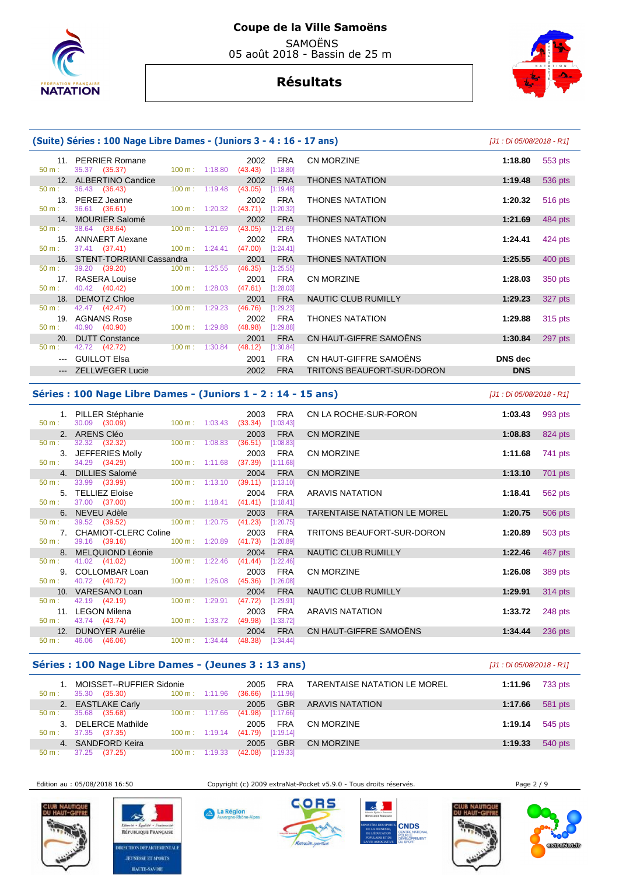



|                                                                                                | (Suite) Séries : 100 Nage Libre Dames - (Juniors 3 - 4 : 16 - 17 ans) |                                             |                           |                                          |                                      |                            | [J1 : Di 05/08/2018 - R1] |         |
|------------------------------------------------------------------------------------------------|-----------------------------------------------------------------------|---------------------------------------------|---------------------------|------------------------------------------|--------------------------------------|----------------------------|---------------------------|---------|
| $50 \text{ m}$ :                                                                               | 11. PERRIER Romane<br>35.37 (35.37)                                   |                                             |                           | 2002<br>100 m: 1:18.80 (43.43) [1:18.80] | FRA                                  | <b>CN MORZINE</b>          | 1:18.80                   | 553 pts |
|                                                                                                | 12. ALBERTINO Candice                                                 |                                             |                           | 2002                                     | <b>FRA</b>                           | <b>THONES NATATION</b>     | 1:19.48                   | 536 pts |
| $50 \text{ m}$ :<br>$50 \text{ m}$ :                                                           | 36.43 (36.43)<br>13. PEREZ Jeanne<br>36.61 (36.61)                    | $100 \text{ m}$ : 1:20.32                   | $100 \text{ m}: 1:19.48$  | (43.05)<br>2002<br>$(43.71)$ [1:20.32]   | [1:19.48]<br><b>FRA</b>              | <b>THONES NATATION</b>     | 1:20.32                   | 516 pts |
|                                                                                                | 14. MOURIER Salomé                                                    |                                             |                           | 2002                                     | <b>FRA</b>                           | <b>THONES NATATION</b>     | 1:21.69                   | 484 pts |
| $50 \text{ m}$ :                                                                               | 38.64 (38.64)                                                         | $100 \text{ m}$ : 1:21.69                   |                           | $(43.05)$ [1:21.69]                      |                                      |                            |                           |         |
| $50 m$ :                                                                                       | 15. ANNAERT Alexane<br>37.41 (37.41)                                  | 100 m : 1:24.41                             |                           | 2002<br>$(47.00)$ [1:24.41]              | FRA                                  | <b>THONES NATATION</b>     | 1:24.41                   | 424 pts |
|                                                                                                | 16. STENT-TORRIANI Cassandra                                          |                                             |                           | 2001                                     | <b>FRA</b>                           | <b>THONES NATATION</b>     | 1:25.55                   | 400 pts |
| $50 \text{ m}$ :<br>50 m:                                                                      | 39.20 (39.20)<br>17. RASERA Louise<br>40.42 (40.42)                   | $100 \text{ m}$ : 1:28.03                   | $100 \text{ m}: 1:25.55$  | (46.35)<br>2001<br>$(47.61)$ [1:28.03]   | [1:25.55]<br><b>FRA</b>              | <b>CN MORZINE</b>          | 1:28.03                   | 350 pts |
|                                                                                                | 18. DEMOTZ Chloe                                                      |                                             |                           | 2001                                     | <b>FRA</b>                           | NAUTIC CLUB RUMILLY        | 1:29.23                   | 327 pts |
| $50 \text{ m}$ :<br>50 m:                                                                      | 42.47 (42.47)<br>19. AGNANS Rose<br>40.90 (40.90)                     | $100 \text{ m}$ : 1:29.23<br>100 m: 1:29.88 |                           | (46.76)<br>2002<br>(48.98)               | [1:29.23]<br><b>FRA</b><br>[1:29.88] | <b>THONES NATATION</b>     | 1:29.88                   | 315 pts |
|                                                                                                | 20. DUTT Constance                                                    |                                             |                           | 2001                                     | <b>FRA</b>                           | CN HAUT-GIFFRE SAMOËNS     | 1:30.84                   | 297 pts |
| $50 m$ :                                                                                       | 42.72 (42.72)                                                         |                                             | $100 \text{ m}$ : 1:30.84 | (48.12)                                  | [1:30.84]                            |                            |                           |         |
| $\frac{1}{2} \left( \frac{1}{2} \right) \left( \frac{1}{2} \right) \left( \frac{1}{2} \right)$ | <b>GUILLOT Elsa</b>                                                   |                                             |                           | 2001                                     | <b>FRA</b>                           | CN HAUT-GIFFRE SAMOËNS     | <b>DNS</b> dec            |         |
| $\cdots$                                                                                       | ZELLWEGER Lucie                                                       |                                             |                           | 2002                                     | <b>FRA</b>                           | TRITONS BEAUFORT-SUR-DORON | <b>DNS</b>                |         |

## **Séries : 100 Nage Libre Dames - (Juniors 1 - 2 : 14 - 15 ans)** [J1 : Di 05/08/2018 - R1]

| $50 m$ :         | 1. PILLER Stéphanie<br>30.09 (30.09) |                           | $100 \text{ m}: 1:03.43$ | <b>FRA</b><br>2003<br>(33.34)<br>[1:03.43] | CN LA ROCHE-SUR-FORON        | 1:03.43 | 993 pts |
|------------------|--------------------------------------|---------------------------|--------------------------|--------------------------------------------|------------------------------|---------|---------|
|                  | 2. ARENS Cléo                        |                           |                          | <b>FRA</b><br>2003                         | <b>CN MORZINE</b>            | 1:08.83 | 824 pts |
| $50 \text{ m}$ : | 32.32 (32.32)                        | $100 \text{ m}$ : 1:08.83 |                          | (36.51)<br>[1:08.83]                       |                              |         |         |
|                  | 3. JEFFERIES Molly                   |                           |                          | 2003<br><b>FRA</b>                         | <b>CN MORZINE</b>            | 1:11.68 | 741 pts |
| 50 m:            | 34.29 (34.29)                        | $100 \text{ m}: 1:11.68$  |                          | (37.39)<br>[1:11.68]                       |                              |         |         |
| 4 <sup>1</sup>   | <b>DILLIES Salomé</b>                |                           |                          | <b>FRA</b><br>2004                         | <b>CN MORZINE</b>            | 1:13.10 | 701 pts |
| $50 \text{ m}$ : | 33.99 ( <b>33.99</b> )               | $100 \text{ m}: 1:13.10$  |                          | (39.11)<br>[1:13.10]                       |                              |         |         |
|                  | 5. TELLIEZ Eloise                    |                           |                          | <b>FRA</b><br>2004                         | ARAVIS NATATION              | 1:18.41 | 562 pts |
| 50 m:            | 37.00 (37.00)                        | 100 m: 1:18.41            |                          | (41.41)<br>[1:18.41]                       |                              |         |         |
|                  | 6. NEVEU Adèle                       |                           |                          | 2003<br><b>FRA</b>                         | TARENTAISE NATATION LE MOREL | 1:20.75 | 506 pts |
| $50 \text{ m}$ : | 39.52 (39.52)                        | $100 \text{ m}: 1:20.75$  |                          | (41.23)<br>[1:20.75]                       |                              |         |         |
|                  | 7. CHAMIOT-CLERC Coline              |                           |                          | 2003<br><b>FRA</b>                         | TRITONS BEAUFORT-SUR-DORON   | 1:20.89 | 503 pts |
| $50 \text{ m}$ : | 39.16 (39.16)                        | $100 \text{ m}$ : 1:20.89 |                          | (41.73)<br>[1:20.89]                       |                              |         |         |
|                  | 8. MELQUIOND Léonie                  |                           |                          | 2004<br><b>FRA</b>                         | NAUTIC CLUB RUMILLY          | 1:22.46 | 467 pts |
| $50 m$ :         | 41.02 (41.02)                        | $100 \text{ m}$ : 1:22.46 |                          | (41.44)<br>[1:22.46]                       |                              |         |         |
|                  | 9. COLLOMBAR Loan                    |                           |                          | FRA<br>2003                                | <b>CN MORZINE</b>            | 1:26.08 | 389 pts |
| $50 \text{ m}$ : | 40.72 (40.72)                        | $100 \text{ m}$ : 1:26.08 |                          | [1:26.08]<br>(45.36)                       |                              |         |         |
|                  | 10. VARESANO Loan                    |                           |                          | <b>FRA</b><br>2004                         | NAUTIC CLUB RUMILLY          | 1:29.91 | 314 pts |
| $50 \text{ m}$ : | 42.19 (42.19)                        | $100 \text{ m}$ : 1:29.91 |                          | (47.72)<br>[1:29.91]                       |                              |         |         |
|                  | 11. LEGON Milena                     |                           |                          | 2003<br><b>FRA</b>                         | ARAVIS NATATION              | 1:33.72 | 248 pts |
| $50 \text{ m}$ : | 43.74 (43.74)                        | $100 \text{ m}$ : 1:33.72 |                          | (49.98)<br>[1:33.72]                       |                              |         |         |
| 12.              | <b>DUNOYER Aurélie</b>               |                           |                          | <b>FRA</b><br>2004                         | CN HAUT-GIFFRE SAMOËNS       | 1:34.44 | 236 pts |
| $50 m$ :         | 46.06 (46.06)                        | $100 \text{ m}: 1:34.44$  |                          | (48.38)<br>[1:34.44]                       |                              |         |         |
|                  |                                      |                           |                          |                                            |                              |         |         |

## **Séries : 100 Nage Libre Dames - (Jeunes 3 : 13 ans)** [J1 : Di 05/08/2018 - R1]

| $50 m$ :         | 1. MOISSET--RUFFIER Sidonie<br>35.30 (35.30) | $100 \text{ m}: 1:11.96$ | <b>FRA</b><br>2005<br>[1:11.96]<br>(36.66) | <b>TARENTAISE NATATION LE MOREL</b> | 1:11.96 | 733 pts |
|------------------|----------------------------------------------|--------------------------|--------------------------------------------|-------------------------------------|---------|---------|
|                  | 2. EASTLAKE Carly                            |                          | <b>GBR</b><br>2005                         | ARAVIS NATATION                     | 1:17.66 | 581 pts |
| $50 m$ :         | 35.68 (35.68)                                | $100 \text{ m}: 1:17.66$ | [1:17.66]<br>(41.98)                       |                                     |         |         |
| 3.               | <b>DELERCE Mathilde</b>                      |                          | <b>FRA</b><br>2005                         | CN MORZINE                          | 1:19.14 | 545 pts |
| $50 \text{ m}$ : | 37.35 (37.35)                                | $100 \text{ m}: 1:19.14$ | [1:19.14]<br>(41.79)                       |                                     |         |         |
|                  | 4. SANDFORD Keira                            |                          | <b>GBR</b><br>2005                         | CN MORZINE                          | 1:19.33 | 540 pts |
| 50 m :           | 37.25 (37.25)<br>$100 \text{ m}$ :           | 1:19.33                  | [1:19.33]<br>(42.08)                       |                                     |         |         |





Edition au : 05/08/2018 16:50 Copyright (c) 2009 extraNat-Pocket v5.9.0 - Tous droits réservés. Page 2 / 9

A La Région







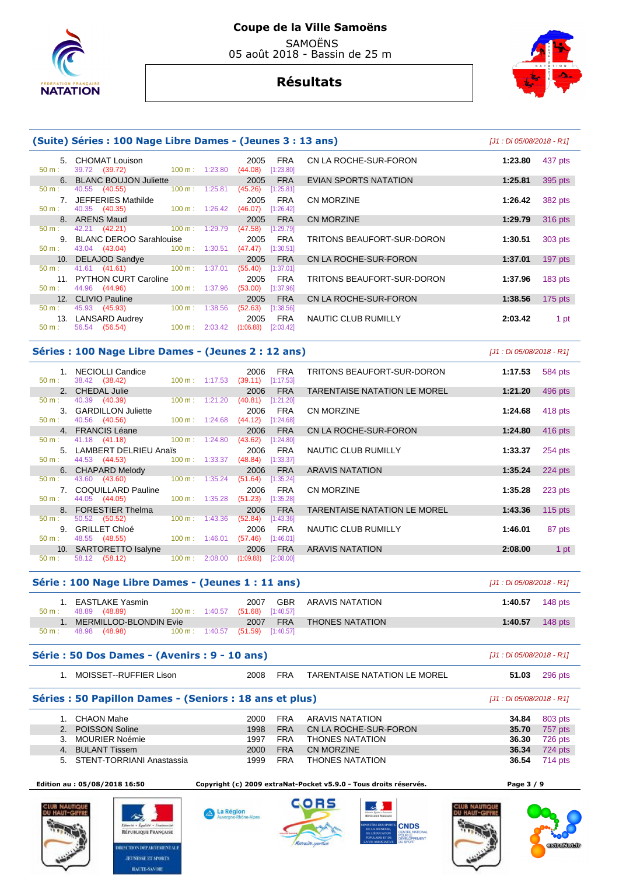



|          | (Suite) Séries : 100 Nage Libre Dames - (Jeunes 3 : 13 ans) |                          |                          |                 |                         |                            | [J1 : Di 05/08/2018 - R1] |           |
|----------|-------------------------------------------------------------|--------------------------|--------------------------|-----------------|-------------------------|----------------------------|---------------------------|-----------|
| $50 m$ : | 5. CHOMAT Louison<br>39.72 (39.72)                          | $100 \text{ m}: 1:23.80$ |                          | 2005<br>(44.08) | <b>FRA</b><br>[1:23.80] | CN LA ROCHE-SUR-FORON      | 1:23.80                   | 437 pts   |
|          | 6. BLANC BOUJON Juliette                                    |                          |                          | 2005            | <b>FRA</b>              | EVIAN SPORTS NATATION      | 1:25.81                   | 395 pts   |
| $50 m$ : | 40.55 (40.55)                                               | $100 \text{ m}: 1:25.81$ |                          | (45.26)         | [1:25.81]               |                            |                           |           |
|          | 7. JEFFERIES Mathilde                                       |                          |                          | 2005            | <b>FRA</b>              | CN MORZINE                 | 1:26.42                   | 382 pts   |
| $50 m$ : | 40.35 (40.35)                                               |                          | $100 \text{ m}: 1:26.42$ | (46.07)         | $[1:26.42]$             |                            |                           |           |
|          | 8. ARENS Maud                                               |                          |                          | 2005            | <b>FRA</b>              | CN MORZINE                 | 1:29.79                   | 316 pts   |
| $50 m$ : | 42.21 (42.21) 100 m : 1:29.79                               |                          |                          | (47.58)         | [1:29.79]               |                            |                           |           |
|          | 9. BLANC DEROO Sarahlouise                                  |                          |                          | 2005            | <b>FRA</b>              | TRITONS BEAUFORT-SUR-DORON | 1:30.51                   | 303 pts   |
| $50 m$ : | 43.04 (43.04) 100 m : 1:30.51                               |                          |                          | (47.47)         | [1:30.51]               |                            |                           |           |
|          | 10. DELAJOD Sandye                                          |                          |                          | 2005            | <b>FRA</b>              | CN LA ROCHE-SUR-FORON      | 1:37.01                   | 197 pts   |
| $50 m$ : | 41.61 (41.61)                                               | $100 \text{ m}: 1:37.01$ |                          | (55.40)         | [1:37.01]               |                            |                           |           |
|          | 11. PYTHON CURT Caroline                                    |                          |                          | 2005            | <b>FRA</b>              | TRITONS BEAUFORT-SUR-DORON | 1:37.96                   | $183$ pts |
| 50 m:    | 44.96 (44.96)                                               | $100 \text{ m}: 1:37.96$ |                          | (53.00)         | [1:37.96]               |                            |                           |           |
|          | 12. CLIVIO Pauline                                          |                          |                          | 2005            | <b>FRA</b>              | CN LA ROCHE-SUR-FORON      | 1:38.56                   | $175$ pts |
| $50 m$ : | 45.93 (45.93)                                               | $100 \text{ m}$ :        | 1:38.56                  | (52.63)         | [1:38.56]               |                            |                           |           |
| 13.      | LANSARD Audrey                                              |                          |                          | 2005            | FRA                     | NAUTIC CLUB RUMILLY        | 2:03.42                   | 1 pt      |
| $50 m$ : | (56.54)<br>56.54                                            | $100 \text{ m}: 2:03.42$ |                          | (1:06.88)       | [2:03.42]               |                            |                           |           |
|          |                                                             |                          |                          |                 |                         |                            |                           |           |

## **Séries : 100 Nage Libre Dames - (Jeunes 2 : 12 ans)** [J1 : Di 05/08/2018 - R1]

|                  | 1. NECIOLLI Candice                        |                           |         | 2006              | <b>FRA</b>              | TRITONS BEAUFORT-SUR-DORON          | 1:17.53 | 584 pts |
|------------------|--------------------------------------------|---------------------------|---------|-------------------|-------------------------|-------------------------------------|---------|---------|
| $50 m$ :         | 38.42 (38.42)                              | $100 \text{ m}: 1:17.53$  |         | (39.11)           | [1:17.53]               |                                     |         |         |
|                  | 2. CHEDAL Julie                            |                           |         | 2006              | <b>FRA</b>              | TARENTAISE NATATION LE MOREL        | 1:21.20 | 496 pts |
| $50 m$ :         | 40.39 (40.39)                              | $100 \text{ m}: 1:21.20$  |         | (40.81)           | [1:21.20]               |                                     |         |         |
|                  | 3. GARDILLON Juliette                      |                           |         | 2006              | <b>FRA</b>              | <b>CN MORZINE</b>                   | 1:24.68 | 418 pts |
| $50 m$ :         | 40.56 (40.56)                              | $100 \text{ m}: 1:24.68$  |         | (44.12)           | [1:24.68]               |                                     |         |         |
|                  | 4. FRANCIS Léane                           |                           |         | 2006              | <b>FRA</b>              | CN LA ROCHE-SUR-FORON               | 1:24.80 | 416 pts |
| 50 m:            | 41.18 (41.18) 100 m: 1:24.80               |                           |         | (43.62)           | [1:24.80]               |                                     |         |         |
|                  | 5. LAMBERT DELRIEU Anaïs                   |                           |         | 2006              | <b>FRA</b>              | NAUTIC CLUB RUMILLY                 | 1:33.37 | 254 pts |
| $50 \text{ m}$ : | 44.53 (44.53)                              | $100 \text{ m}: 1:33.37$  |         | (48.84)           | [1:33.37]               |                                     |         |         |
|                  | 6. CHAPARD Melody                          |                           |         | 2006              | <b>FRA</b>              | <b>ARAVIS NATATION</b>              | 1:35.24 | 224 pts |
| $50 m$ :         | 43.60 (43.60)                              | $100 \text{ m}$ : 1:35.24 |         | (51.64)           | [1:35.24]               |                                     |         |         |
|                  | 7. COQUILLARD Pauline                      |                           |         | 2006              | <b>FRA</b>              | <b>CN MORZINE</b>                   | 1:35.28 | 223 pts |
| $50 m$ :         | 44.05 (44.05)                              | 100 m: 1:35.28            |         | (51.23)           | [1:35.28]               |                                     |         |         |
| $50 m$ :         | 8. FORESTIER Thelma                        | $100 \text{ m}: 1:43.36$  |         | 2006              | <b>FRA</b>              | <b>TARENTAISE NATATION LE MOREL</b> | 1:43.36 | 115 pts |
|                  | 50.52<br>(50.52)                           |                           |         | (52.84)           | [1:43.36]               |                                     |         |         |
|                  | 9. GRILLET Chloé                           |                           |         | 2006              | <b>FRA</b>              | NAUTIC CLUB RUMILLY                 | 1:46.01 | 87 pts  |
| $50 m$ :         | 48.55 (48.55)                              | $100 \text{ m}: 1:46.01$  |         | (57.46)           | [1:46.01]<br><b>FRA</b> | <b>ARAVIS NATATION</b>              | 2:08.00 |         |
|                  |                                            |                           |         |                   |                         |                                     |         |         |
| 50 m:            | 10. SARTORETTO Isalyne<br>(58.12)<br>58.12 | 100 m:                    | 2:08.00 | 2006<br>(1:09.88) | [2:08.00]               |                                     |         | 1 pt    |

|          | Série : 100 Nage Libre Dames - (Jeunes 1 : 11 ans) |                          |                                                        |                        | [J1 : Di 05/08/2018 - R1] |
|----------|----------------------------------------------------|--------------------------|--------------------------------------------------------|------------------------|---------------------------|
| $50 m$ : | EASTLAKE Yasmin<br>48.89 (48.89)                   | $100 \text{ m}: 1:40.57$ | <b>GBR</b><br>2007<br>$(51.68)$ [1:40.57]              | ARAVIS NATATION        | 1:40.57<br>148 $p$ ts     |
| $50 m$ : | MERMILLOD-BLONDIN Evie<br>48.98 (48.98)            |                          | <b>FRA</b><br>2007<br>100 m: 1:40.57 (51.59) [1:40.57] | <b>THONES NATATION</b> | 148 pts<br>1:40.57        |

| Série : 50 Dos Dames - (Avenirs : 9 - 10 ans) |  |
|-----------------------------------------------|--|
|-----------------------------------------------|--|

| MOISSET--RUFFIER Lison | 2008 | <b>FRA</b> | TARENTAISE NATATION LE MOREL | 51.03 |  |
|------------------------|------|------------|------------------------------|-------|--|
|                        |      |            |                              |       |  |

## **Séries : 50 Papillon Dames - (Seniors : 18 ans et plus)**  $[J1 : D1 : D1 : D1 : D1 : D2 : D3 : D4 : R1]$

|    | 1. CHAON Mahe                | 2000. | FRA        | ARAVIS NATATION       | 34.84 | 803 pts              |
|----|------------------------------|-------|------------|-----------------------|-------|----------------------|
|    | 2. POISSON Soline            | 1998  | <b>FRA</b> | CN LA ROCHE-SUR-FORON |       | <b>35.70</b> 757 pts |
| 3. | MOURIER Noémie               | 1997  | FRA        | THONES NATATION       | 36.30 | 726 pts              |
|    | 4. BULANT Tissem             | 2000  | <b>FRA</b> | CN MORZINE            |       | <b>36.34</b> 724 pts |
|    | 5. STENT-TORRIANI Anastassia | 1999  | <b>FRA</b> | THONES NATATION       |       | <b>36.54</b> 714 pts |

 **Edition au : 05/08/2018 16:50 Copyright (c) 2009 extraNat-Pocket v5.9.0 - Tous droits réservés. Page 3 / 9** 



**Série : 50 Dos Dames - (Avenirs : 9 - 10 ans)** [J1 : Di 05/08/2018 - R1]



勾 RÉPUBLIQUE FRANÇAISE RECTION DEPARTEMENTALI **JEUNESSE ET SPORTS HAUTE-SAVOIE** 



A La Région<br>Auvergne-Rhône-Alpes



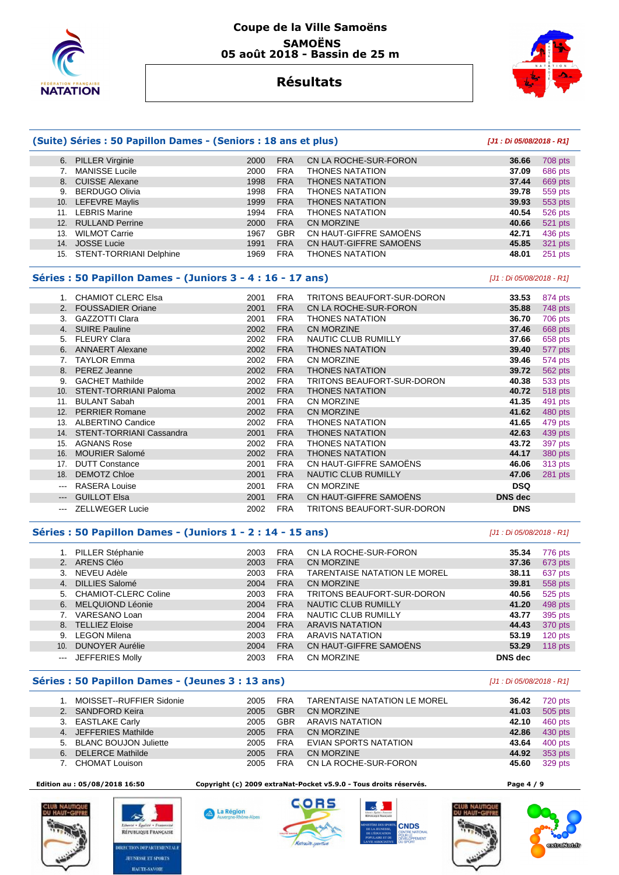

## **Coupe de la Ville Samoëns SAMOËNS 05 août 2018 - Bassin de 25 m**



## **Résultats**

|       | (Suite) Séries : 50 Papillon Dames - (Seniors : 18 ans et plus) |      |            |                                     | [J1: Di 05/08/2018 - R1]  |         |
|-------|-----------------------------------------------------------------|------|------------|-------------------------------------|---------------------------|---------|
|       | 6. PILLER Virginie                                              | 2000 | <b>FRA</b> | CN LA ROCHE-SUR-FORON               | 36.66                     | 708 pts |
|       | 7. MANISSE Lucile                                               | 2000 | <b>FRA</b> | <b>THONES NATATION</b>              | 37.09                     | 686 pts |
|       | 8. CUISSE Alexane                                               | 1998 | <b>FRA</b> | <b>THONES NATATION</b>              | 37.44                     | 669 pts |
|       | 9. BERDUGO Olivia                                               | 1998 | <b>FRA</b> | <b>THONES NATATION</b>              | 39.78                     | 559 pts |
|       | 10. LEFEVRE Maylis                                              | 1999 | <b>FRA</b> | <b>THONES NATATION</b>              | 39.93                     | 553 pts |
|       | 11. LEBRIS Marine                                               | 1994 | <b>FRA</b> | <b>THONES NATATION</b>              | 40.54                     | 526 pts |
|       | 12. RULLAND Perrine                                             | 2000 | <b>FRA</b> | <b>CN MORZINE</b>                   | 40.66                     | 521 pts |
|       | 13. WILMOT Carrie                                               | 1967 | <b>GBR</b> | CN HAUT-GIFFRE SAMOËNS              | 42.71                     | 436 pts |
|       | 14. JOSSE Lucie                                                 | 1991 | <b>FRA</b> | CN HAUT-GIFFRE SAMOËNS              | 45.85                     | 321 pts |
|       | 15. STENT-TORRIANI Delphine                                     | 1969 | <b>FRA</b> | <b>THONES NATATION</b>              | 48.01                     | 251 pts |
|       | Séries : 50 Papillon Dames - (Juniors 3 - 4 : 16 - 17 ans)      |      |            |                                     | [J1 : Di 05/08/2018 - R1] |         |
|       | 1. CHAMIOT CLERC Elsa                                           | 2001 | <b>FRA</b> | TRITONS BEAUFORT-SUR-DORON          | 33.53                     | 874 pts |
|       | 2. FOUSSADIER Oriane                                            | 2001 | <b>FRA</b> | CN LA ROCHE-SUR-FORON               | 35.88                     | 748 pts |
|       | 3. GAZZOTTI Clara                                               | 2001 | <b>FRA</b> | <b>THONES NATATION</b>              | 36.70                     | 706 pts |
|       | 4. SUIRE Pauline                                                | 2002 | <b>FRA</b> | CN MORZINE                          | 37.46                     | 668 pts |
|       | 5. FLEURY Clara                                                 | 2002 | <b>FRA</b> | NAUTIC CLUB RUMILLY                 | 37.66                     | 658 pts |
|       | 6. ANNAERT Alexane                                              | 2002 | <b>FRA</b> | <b>THONES NATATION</b>              | 39.40                     | 577 pts |
|       | 7. TAYLOR Emma                                                  | 2002 | <b>FRA</b> | <b>CN MORZINE</b>                   | 39.46                     | 574 pts |
|       | 8. PEREZ Jeanne                                                 | 2002 | <b>FRA</b> | <b>THONES NATATION</b>              | 39.72                     | 562 pts |
|       | 9. GACHET Mathilde                                              | 2002 | <b>FRA</b> | TRITONS BEAUFORT-SUR-DORON          | 40.38                     | 533 pts |
|       | 10. STENT-TORRIANI Paloma                                       | 2002 | <b>FRA</b> | <b>THONES NATATION</b>              | 40.72                     | 518 pts |
|       | 11. BULANT Sabah                                                | 2001 | <b>FRA</b> | <b>CN MORZINE</b>                   | 41.35                     | 491 pts |
|       | 12. PERRIER Romane                                              | 2002 | <b>FRA</b> | <b>CN MORZINE</b>                   | 41.62                     | 480 pts |
|       | 13. ALBERTINO Candice                                           | 2002 | <b>FRA</b> | <b>THONES NATATION</b>              | 41.65                     | 479 pts |
|       | 14. STENT-TORRIANI Cassandra                                    | 2001 | <b>FRA</b> | <b>THONES NATATION</b>              | 42.63                     | 439 pts |
|       | 15. AGNANS Rose                                                 | 2002 | <b>FRA</b> | <b>THONES NATATION</b>              | 43.72                     | 397 pts |
|       | 16. MOURIER Salomé                                              | 2002 | <b>FRA</b> | <b>THONES NATATION</b>              | 44.17                     | 380 pts |
|       | 17. DUTT Constance                                              | 2001 | <b>FRA</b> | CN HAUT-GIFFRE SAMOËNS              | 46.06                     | 313 pts |
|       | 18. DEMOTZ Chloe                                                | 2001 | <b>FRA</b> | <b>NAUTIC CLUB RUMILLY</b>          | 47.06                     | 281 pts |
|       | --- RASERA Louise                                               | 2001 | <b>FRA</b> | CN MORZINE                          | <b>DSQ</b>                |         |
| $---$ | <b>GUILLOT Elsa</b>                                             | 2001 | <b>FRA</b> | CN HAUT-GIFFRE SAMOËNS              | <b>DNS</b> dec            |         |
|       | <b>ZELLWEGER Lucie</b>                                          | 2002 | <b>FRA</b> | TRITONS BEAUFORT-SUR-DORON          | <b>DNS</b>                |         |
|       | Séries : 50 Papillon Dames - (Juniors 1 - 2 : 14 - 15 ans)      |      |            |                                     | [J1 : Di 05/08/2018 - R1] |         |
|       | 1. PILLER Stéphanie                                             | 2003 | <b>FRA</b> | CN LA ROCHE-SUR-FORON               | 35.34                     | 776 pts |
|       | 2. ARENS Cléo                                                   | 2003 | <b>FRA</b> | CN MORZINE                          | 37.36                     | 673 pts |
|       | 3. NEVEU Adèle                                                  | 2003 | <b>FRA</b> | <b>TARENTAISE NATATION LE MOREL</b> | 38.11                     | 637 pts |
|       | 4. DILLIES Salomé                                               | 2004 | <b>FRA</b> | CN MORZINE                          | 39.81                     | 558 pts |
|       | 5. CHAMIOT-CLERC Coline                                         | 2003 | <b>FRA</b> | TRITONS BEAUFORT-SUR-DORON          | 40.56                     | 525 pts |
|       | 6. MELQUIOND Léonie                                             | 2004 | <b>FRA</b> | NAUTIC CLUB RUMILLY                 | 41.20                     | 498 pts |
|       | 7. VARESANO Loan                                                | 2004 | <b>FRA</b> | NAUTIC CLUB RUMILLY                 | 43.77                     | 395 pts |
|       | 8. TELLIEZ Eloise                                               | 2004 | <b>FRA</b> | <b>ARAVIS NATATION</b>              | 44.43                     | 370 pts |
|       | 9. LEGON Milena                                                 | 2003 | <b>FRA</b> | <b>ARAVIS NATATION</b>              | 53.19                     | 120 pts |
|       | 10. DUNOYER Aurélie                                             | 2004 | <b>FRA</b> | CN HAUT-GIFFRE SAMOËNS              | 53.29                     | 118 pts |
|       | --- JEFFERIES Molly                                             | 2003 | <b>FRA</b> | CN MORZINE                          | <b>DNS</b> dec            |         |

## **Séries : 50 Papillon Dames - (Jeunes 3 : 13 ans)** [J1 : Di 05/08/2018 - R1]

|    | MOISSET--RUFFIER Sidonie | 2005 | <b>FRA</b> | TARENTAISE NATATION LE MOREL | 36.42 | 720 pts |
|----|--------------------------|------|------------|------------------------------|-------|---------|
|    | 2. SANDFORD Keira        | 2005 | <b>GBR</b> | CN MORZINE                   | 41.03 | 505 pts |
|    | 3. EASTLAKE Carly        | 2005 | <b>GBR</b> | ARAVIS NATATION              | 42.10 | 460 pts |
|    | 4. JEFFERIES Mathilde    | 2005 | <b>FRA</b> | <b>CN MORZINE</b>            | 42.86 | 430 pts |
|    | 5. BLANC BOUJON Juliette | 2005 | <b>FRA</b> | <b>EVIAN SPORTS NATATION</b> | 43.64 | 400 pts |
| 6. | <b>DELERCE Mathilde</b>  | 2005 | <b>FRA</b> | CN MORZINE                   | 44.92 | 353 pts |
|    | CHOMAT Louison           | 2005 | <b>FRA</b> | CN LA ROCHE-SUR-FORON        | 45.60 | 329 pts |



公 RÉPUBLIQUE FRANÇAISE **RECTION DEPARTEMENTALI JEUNESSE ET SPORTS HAUTE-SAVOIE** 

A La Région

 $-\Delta$ lne

 **Edition au : 05/08/2018 16:50 Copyright (c) 2009 extraNat-Pocket v5.9.0 - Tous droits réservés. Page 4 / 9** 





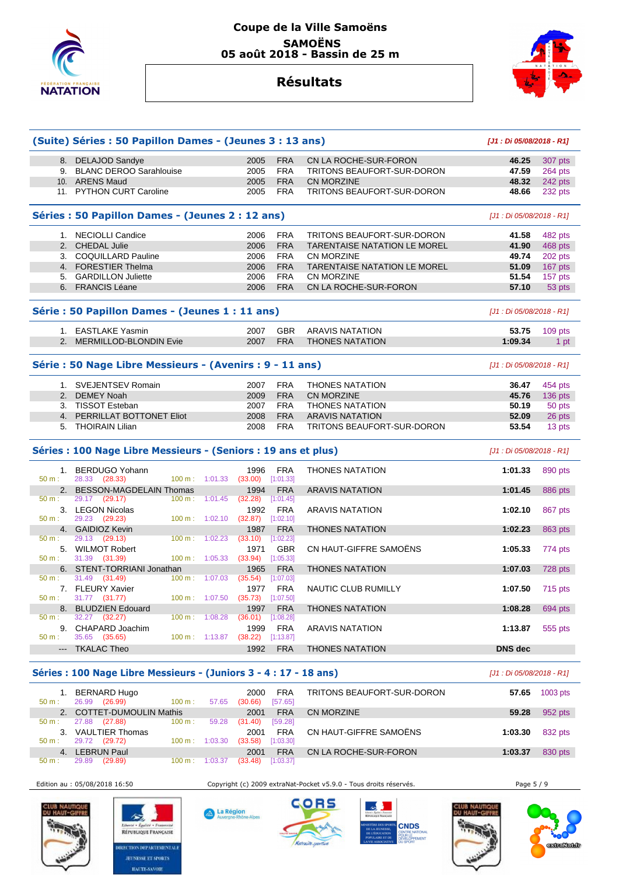

## **Coupe de la Ville Samoëns SAMOËNS 05 août 2018 - Bassin de 25 m**



## **Résultats**

|                                                 | (Suite) Séries : 50 Papillon Dames - (Jeunes 3 : 13 ans)       |                             |                 |                         |                                     | [J1 : Di 05/08/2018 - R1] |           |  |
|-------------------------------------------------|----------------------------------------------------------------|-----------------------------|-----------------|-------------------------|-------------------------------------|---------------------------|-----------|--|
|                                                 | 8. DELAJOD Sandye                                              |                             | 2005            | <b>FRA</b>              | CN LA ROCHE-SUR-FORON               | 46.25                     | 307 pts   |  |
|                                                 | 9. BLANC DEROO Sarahlouise                                     |                             | 2005            | <b>FRA</b>              | <b>TRITONS BEAUFORT-SUR-DORON</b>   | 47.59                     | 264 pts   |  |
|                                                 | 10. ARENS Maud                                                 |                             | 2005            | <b>FRA</b>              | <b>CN MORZINE</b>                   | 48.32                     | 242 pts   |  |
|                                                 | 11. PYTHON CURT Caroline                                       |                             | 2005            | <b>FRA</b>              | TRITONS BEAUFORT-SUR-DORON          | 48.66                     | 232 pts   |  |
|                                                 | Séries : 50 Papillon Dames - (Jeunes 2 : 12 ans)               |                             |                 |                         |                                     | [J1 : Di 05/08/2018 - R1] |           |  |
|                                                 | 1. NECIOLLI Candice                                            |                             | 2006            | <b>FRA</b>              | TRITONS BEAUFORT-SUR-DORON          | 41.58                     | 482 pts   |  |
|                                                 | 2. CHEDAL Julie                                                |                             | 2006            | <b>FRA</b>              | <b>TARENTAISE NATATION LE MOREL</b> | 41.90                     | 468 pts   |  |
|                                                 | 3. COQUILLARD Pauline                                          |                             | 2006            | <b>FRA</b>              | <b>CN MORZINE</b>                   | 49.74                     | 202 pts   |  |
|                                                 | 4. FORESTIER Thelma                                            |                             | 2006            | <b>FRA</b>              | TARENTAISE NATATION LE MOREL        | 51.09                     | 167 pts   |  |
|                                                 | 5. GARDILLON Juliette                                          |                             | 2006            | <b>FRA</b>              | <b>CN MORZINE</b>                   | 51.54                     | 157 pts   |  |
|                                                 | 6. FRANCIS Léane                                               |                             | 2006            | <b>FRA</b>              | CN LA ROCHE-SUR-FORON               | 57.10                     | 53 pts    |  |
| Série : 50 Papillon Dames - (Jeunes 1 : 11 ans) | [J1 : Di 05/08/2018 - R1]                                      |                             |                 |                         |                                     |                           |           |  |
|                                                 | 1. EASTLAKE Yasmin                                             |                             | 2007            | <b>GBR</b>              | <b>ARAVIS NATATION</b>              | 53.75                     | 109 pts   |  |
|                                                 | 2. MERMILLOD-BLONDIN Evie                                      |                             | 2007            | <b>FRA</b>              | <b>THONES NATATION</b>              | 1:09.34                   | 1 pt      |  |
|                                                 | Série : 50 Nage Libre Messieurs - (Avenirs : 9 - 11 ans)       |                             |                 |                         |                                     | [J1 : Di 05/08/2018 - R1] |           |  |
|                                                 | 1. SVEJENTSEV Romain                                           |                             | 2007            | <b>FRA</b>              | <b>THONES NATATION</b>              | 36.47                     | 454 pts   |  |
|                                                 | 2. DEMEY Noah                                                  |                             | 2009            | <b>FRA</b>              | <b>CN MORZINE</b>                   | 45.76                     | $136$ pts |  |
|                                                 | 3. TISSOT Esteban                                              |                             | 2007            | <b>FRA</b>              | <b>THONES NATATION</b>              | 50.19                     | 50 pts    |  |
|                                                 | 4. PERRILLAT BOTTONET Eliot                                    |                             | 2008            | <b>FRA</b>              | <b>ARAVIS NATATION</b>              | 52.09                     | 26 pts    |  |
|                                                 | 5. THOIRAIN Lilian                                             |                             | 2008            | <b>FRA</b>              | TRITONS BEAUFORT-SUR-DORON          | 53.54                     | 13 pts    |  |
|                                                 | Séries : 100 Nage Libre Messieurs - (Seniors : 19 ans et plus) |                             |                 |                         |                                     | [J1 : Di 05/08/2018 - R1] |           |  |
| $50 m$ :                                        | 1. BERDUGO Yohann<br>28.33 (28.33)<br>100 m:                   | 1:01.33                     | 1996<br>(33.00) | <b>FRA</b><br>[1:01.33] | <b>THONES NATATION</b>              | 1:01.33                   | 890 pts   |  |
|                                                 | 2. BESSON-MAGDELAIN Thomas                                     |                             | 1994            | <b>FRA</b>              | <b>ARAVIS NATATION</b>              | 1:01.45                   | 886 pts   |  |
| 50 m:                                           | 29.17 (29.17)<br>100 m:                                        | 1:01.45                     | (32.28)         | [1:01.45]               |                                     |                           |           |  |
| $50 m$ :                                        | 3. LEGON Nicolas<br>29.23 (29.23)<br>100 m:                    | 1:02.10                     | 1992<br>(32.87) | <b>FRA</b><br>[1:02.10] | <b>ARAVIS NATATION</b>              | 1:02.10                   | 867 pts   |  |
|                                                 | 4. GAIDIOZ Kevin                                               |                             | 1987            | <b>FRA</b>              | <b>THONES NATATION</b>              | 1:02.23                   | 863 pts   |  |
| 50 m:                                           | 29.13<br>(29.13)<br>100 m:                                     | 1:02.23                     | (33.10)         | [1:02.23]               |                                     |                           |           |  |
| 50 m:                                           | 5. WILMOT Robert                                               | 100 m: 1:05.33              | 1971<br>(33.94) | <b>GBR</b>              | CN HAUT-GIFFRE SAMOËNS              | 1:05.33                   | 774 pts   |  |
|                                                 | 31.39 (31.39)<br>6. STENT-TORRIANI Jonathan                    |                             | 1965            | [1:05.33]<br><b>FRA</b> | <b>THONES NATATION</b>              | 1:07.03                   | 728 pts   |  |
| 50 m:                                           | 31.49<br>(31.49)<br>100 m:                                     | 1:07.03                     | (35.54)         | [1:07.03]               |                                     |                           |           |  |
|                                                 | 7. FLEURY Xavier                                               |                             | 1977            | <b>FRA</b>              | NAUTIC CLUB RUMILLY                 | 1:07.50                   | 715 pts   |  |
| 50 m:                                           | 31.77 (31.77)                                                  | 100 m: 1:07.50              | (35.73)         | [1:07.50]               |                                     |                           |           |  |
|                                                 | 8. BLUDZIEN Edouard                                            |                             | 1997            | <b>FRA</b>              | <b>THONES NATATION</b>              | 1:08.28                   | 694 pts   |  |
| 50 m:                                           | 32.27 (32.27)<br>9. CHAPARD Joachim                            | $100 \text{ m}$ : $1:08.28$ | (36.01)<br>1999 | [1:08.28]<br><b>FRA</b> | <b>ARAVIS NATATION</b>              | 1:13.87                   | 555 pts   |  |
| $50 m$ :                                        | 35.65 (35.65)                                                  | 100 m: 1:13.87              | (38.22)         | [1:13.87]               |                                     |                           |           |  |
| $\overline{a}$                                  | <b>TKALAC Theo</b>                                             |                             | 1992            | <b>FRA</b>              | <b>THONES NATATION</b>              | <b>DNS</b> dec            |           |  |
|                                                 |                                                                |                             |                 |                         |                                     |                           |           |  |

### **Séries : 100 Nage Libre Messieurs - (Juniors 3 - 4 : 17 - 18 ans)** [J1 : Di 05/08/2018 - R1]

 1. BERNARD Hugo 2000 FRA TRITONS BEAUFORT-SUR-DORON **57.65** 1003 pts 26.99 (26.99) 100 m : 57.65 (30.66) [57.65] 2. COTTET-DUMOULIN Mathis 2001 FRA CN MORZINE **59.28** 952 pts 27.88 (27.88) 100 m : 59.28 (31.40) 3. VAULTIER Thomas 2001 FRA CN HAUT-GIFFRE SAMOËNS **1:03.30** 832 pts 3. VAULTIER Thomas<br>: 29.72 (29.72) 4. LEBRUN Paul 2001 FRA CN LA ROCHE-SUR-FORON **1:03.37** 830 pts  $(33.48)$  [1:03.37]

Edition au : 05/08/2018 16:50 Copyright (c) 2009 extraNat-Pocket v5.9.0 - Tous droits réservés. Page 5 / 9



勾 RÉPUBLIQUE FRANÇAISE RECTION DEPARTEMENTALI **JEUNESSE ET SPORTS HAUTE-SAVOIE** 





**CNDS** 



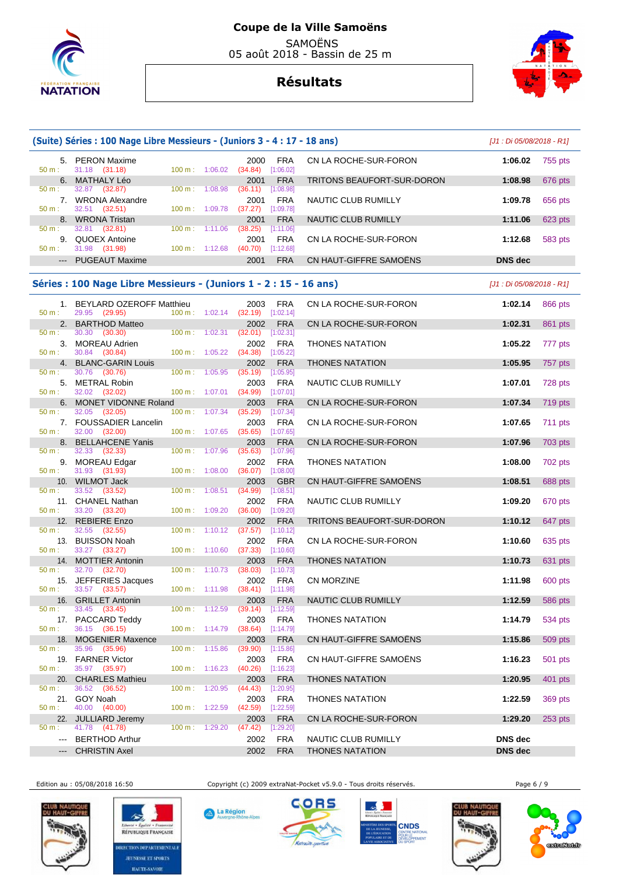



|                                                                                                         | (Suite) Séries : 100 Nage Libre Messieurs - (Juniors 3 - 4 : 17 - 18 ans) |                          |                          |                                          |                         |                                               | [J1 : Di 05/08/2018 - R1] |           |
|---------------------------------------------------------------------------------------------------------|---------------------------------------------------------------------------|--------------------------|--------------------------|------------------------------------------|-------------------------|-----------------------------------------------|---------------------------|-----------|
| 50 m:                                                                                                   | 5. PERON Maxime<br>31.18 (31.18)                                          | 100 m: 1:06.02           |                          | 2000<br>(34.84)                          | <b>FRA</b><br>[1:06.02] | CN LA ROCHE-SUR-FORON                         | 1:06.02                   | 755 pts   |
| 6.<br>50 m:                                                                                             | <b>MATHALY Léo</b><br>32.87 (32.87)                                       | $100 \text{ m}$ :        | 1:08.98                  | 2001<br>(36.11)                          | <b>FRA</b><br>[1:08.98] | TRITONS BEAUFORT-SUR-DORON                    | 1:08.98                   | 676 pts   |
| 50 m:                                                                                                   | 7. WRONA Alexandre<br>32.51 (32.51)                                       | 100 m: 1:09.78           |                          | 2001<br>(37.27)                          | <b>FRA</b><br>[1:09.78] | NAUTIC CLUB RUMILLY                           | 1:09.78                   | 656 pts   |
| 8.<br>50 m:                                                                                             | <b>WRONA Tristan</b><br>32.81<br>(32.81)                                  | $100 \text{ m}: 1:11.06$ |                          | 2001<br>(38.25)                          | <b>FRA</b><br>[1:11.06] | NAUTIC CLUB RUMILLY                           | 1:11.06                   | 623 pts   |
| 9.<br>50 m:                                                                                             | <b>QUOEX Antoine</b><br>31.98 (31.98)                                     | $100 \text{ m}: 1:12.68$ |                          | 2001<br>$(40.70)$ [1:12.68]              | <b>FRA</b>              | CN LA ROCHE-SUR-FORON                         | 1:12.68                   | 583 pts   |
| $\qquad \qquad - -$                                                                                     | <b>PUGEAUT Maxime</b>                                                     |                          |                          | 2001                                     | <b>FRA</b>              | CN HAUT-GIFFRE SAMOENS                        | <b>DNS dec</b>            |           |
|                                                                                                         | Séries : 100 Nage Libre Messieurs - (Juniors 1 - 2 : 15 - 16 ans)         |                          |                          |                                          |                         |                                               | [J1 : Di 05/08/2018 - R1] |           |
|                                                                                                         | 1. BEYLARD OZEROFF Matthieu                                               |                          |                          | 2003                                     | <b>FRA</b>              | CN LA ROCHE-SUR-FORON                         | 1:02.14                   | 866 pts   |
| $50 m$ :<br>2.                                                                                          | 29.95 (29.95)<br><b>BARTHOD Matteo</b>                                    |                          | 100 m: 1:02.14           | $(32.19)$ [1:02.14]<br>2002              | <b>FRA</b>              | CN LA ROCHE-SUR-FORON                         | 1:02.31                   | 861 pts   |
| $50 m$ :                                                                                                | 30.30<br>(30.30)<br>3. MOREAU Adrien                                      |                          | $100 \text{ m}: 1:02.31$ | $(32.01)$ [1:02.31]                      | <b>FRA</b>              | <b>THONES NATATION</b>                        | 1:05.22                   |           |
| $50 m$ :                                                                                                | 30.84 (30.84)                                                             | $100 m$ : 1:05.22        |                          | 2002<br>(34.38)                          | [1:05.22]               |                                               |                           | 777 pts   |
| 4.<br>50 m :                                                                                            | <b>BLANC-GARIN Louis</b><br>30.76<br>(30.76)                              | 100 m: 1:05.95           |                          | 2002<br>(35.19)                          | <b>FRA</b><br>[1:05.95] | <b>THONES NATATION</b>                        | 1:05.95                   | 757 pts   |
| 50 m:                                                                                                   | 5. METRAL Robin<br>32.02 (32.02)                                          |                          | $100 \text{ m}: 1:07.01$ | 2003<br>(34.99)                          | <b>FRA</b><br>[1:07.01] | NAUTIC CLUB RUMILLY                           | 1:07.01                   | 728 pts   |
| 6.                                                                                                      | <b>MONET VIDONNE Roland</b>                                               |                          |                          | 2003                                     | <b>FRA</b>              | CN LA ROCHE-SUR-FORON                         | 1:07.34                   | 719 pts   |
| 50 m :<br>7.                                                                                            | 32.05 (32.05)<br><b>FOUSSADIER Lancelin</b>                               | $100 \text{ m}$ :        | 1:07.34                  | (35.29)<br>2003                          | [1:07.34]<br>FRA        | CN LA ROCHE-SUR-FORON                         | 1:07.65                   | 711 pts   |
| 50 m:<br>8.                                                                                             | 32.00 (32.00)<br><b>BELLAHCENE Yanis</b>                                  | 100 m: 1:07.65           |                          | $(35.65)$ [1:07.65]                      | <b>FRA</b>              |                                               |                           | 703 pts   |
| 50 m:                                                                                                   | 32.33 (32.33)                                                             | 100 m:                   | 1:07.96                  | 2003<br>(35.63)                          | [1:07.96]               | CN LA ROCHE-SUR-FORON                         | 1:07.96                   |           |
| 9.<br>50 m:                                                                                             | <b>MOREAU Edgar</b><br>31.93 (31.93)                                      | 100 m: 1:08.00           |                          | 2002<br>(36.07)                          | <b>FRA</b><br>[1:08.00] | <b>THONES NATATION</b>                        | 1:08.00                   | 702 pts   |
| 10.<br>50 m:                                                                                            | <b>WILMOT Jack</b><br>33.52<br>(33.52)                                    | 100 m: 1:08.51           |                          | 2003<br>(34.99)                          | GBR<br>[1:08.51]        | CN HAUT-GIFFRE SAMOENS                        | 1:08.51                   | 688 pts   |
|                                                                                                         | 11. CHANEL Nathan                                                         |                          |                          | 2002                                     | <b>FRA</b>              | NAUTIC CLUB RUMILLY                           | 1:09.20                   | 670 pts   |
| 50 m:<br>12.                                                                                            | 33.20 (33.20)<br><b>REBIERE Enzo</b>                                      | 100 m:                   | 1:09.20                  | (36.00)<br>2002                          | [1:09.20]<br><b>FRA</b> | TRITONS BEAUFORT-SUR-DORON                    | 1:10.12                   | 647 pts   |
| 50 m:<br>13.                                                                                            | 32.55<br>(32.55)<br><b>BUISSON Noah</b>                                   |                          | 100 m: 1:10.12           | (37.57)<br>2002                          | [1:10.12]<br>FRA        | CN LA ROCHE-SUR-FORON                         | 1:10.60                   | 635 pts   |
| 50 m:                                                                                                   | 33.27 (33.27)                                                             | 100 m:                   | 1:10.60                  | $(37.33)$ [1:10.60]                      |                         |                                               |                           |           |
| 14.<br>50 m:                                                                                            | <b>MOTTIER Antonin</b><br>32.70 (32.70)                                   |                          | $100 \text{ m}: 1:10.73$ | 2003<br>(38.03)                          | <b>FRA</b><br>[1:10.73] | <b>THONES NATATION</b>                        | 1:10.73                   | 631 pts   |
| 50 m :                                                                                                  | 15. JEFFERIES Jacques<br>33.57 (33.57)                                    |                          |                          | 2002<br>100 m: 1:11.98 (38.41) [1:11.98] | <b>FRA</b>              | <b>CN MORZINE</b>                             | 1:11.98                   | 600 pts   |
|                                                                                                         | 16. GRILLET Antonin                                                       |                          |                          | 2003                                     | <b>FRA</b>              | <b>NAUTIC CLUB RUMILLY</b>                    | 1:12.59                   | 586 pts   |
| $50 m$ :                                                                                                | 33.45<br>(33.45)<br>17. PACCARD Teddy                                     |                          | $100 \text{ m}: 1:12.59$ | (39.14)<br>2003                          | [1:12.59]<br><b>FRA</b> | <b>THONES NATATION</b>                        | 1:14.79                   | 534 pts   |
| $50 m$ :<br>18.                                                                                         | 36.15 (36.15)<br><b>MOGENIER Maxence</b>                                  | $100 \text{ m}: 1:14.79$ |                          | $(38.64)$ [1:14.79]<br>2003              | <b>FRA</b>              | CN HAUT-GIFFRE SAMOËNS                        | 1:15.86                   | 509 pts   |
| 50 m:                                                                                                   | 35.96 (35.96)                                                             | 100 m: 1:15.86           |                          | (39.90)                                  | [1:15.86]               |                                               |                           |           |
| 50 m:                                                                                                   | 19. FARNER Victor<br>35.97 (35.97)                                        |                          | $100 m$ : 1:16.23        | 2003<br>$(40.26)$ [1:16.23]              | <b>FRA</b>              | CN HAUT-GIFFRE SAMOËNS                        | 1:16.23                   | 501 pts   |
| 20.<br>$50 m$ :                                                                                         | <b>CHARLES Mathieu</b><br>36.52<br>(36.52)                                | $100 \text{ m}: 1:20.95$ |                          | 2003<br>$(44.43)$ [1:20.95]              | <b>FRA</b>              | <b>THONES NATATION</b>                        | 1:20.95                   | 401 pts   |
|                                                                                                         | 21. GOY Noah                                                              |                          |                          | 2003                                     | <b>FRA</b>              | <b>THONES NATATION</b>                        | 1:22.59                   | 369 pts   |
| 50 m:<br>22.                                                                                            | 40.00<br>(40.00)<br><b>JULLIARD Jeremy</b>                                | 100 m: 1:22.59           |                          | (42.59)<br>2003                          | [1:22.59]<br><b>FRA</b> | CN LA ROCHE-SUR-FORON                         | 1:29.20                   | $253$ pts |
| 50 m:<br>$\frac{1}{2} \left( \frac{1}{2} \right) \left( \frac{1}{2} \right) \left( \frac{1}{2} \right)$ | 41.78 (41.78)<br><b>BERTHOD Arthur</b>                                    |                          | $100 \text{ m}: 1:29.20$ | (47.42)<br>2002                          | [1:29.20]<br><b>FRA</b> |                                               | DNS dec                   |           |
| $\qquad \qquad - -$                                                                                     | <b>CHRISTIN Axel</b>                                                      |                          |                          | 2002                                     | <b>FRA</b>              | NAUTIC CLUB RUMILLY<br><b>THONES NATATION</b> | DNS dec                   |           |
|                                                                                                         |                                                                           |                          |                          |                                          |                         |                                               |                           |           |

勾

RÉPUBLIQUE FRANÇAISE

**IRECTION DEPARTEMENTALI JEUNESSE ET SPORTS HAUTE-SAVOIE** 



Edition au : 05/08/2018 16:50 Copyright (c) 2009 extraNat-Pocket v5.9.0 - Tous droits réservés. Page 6 / 9



A La Région

 $-\Delta$ lne





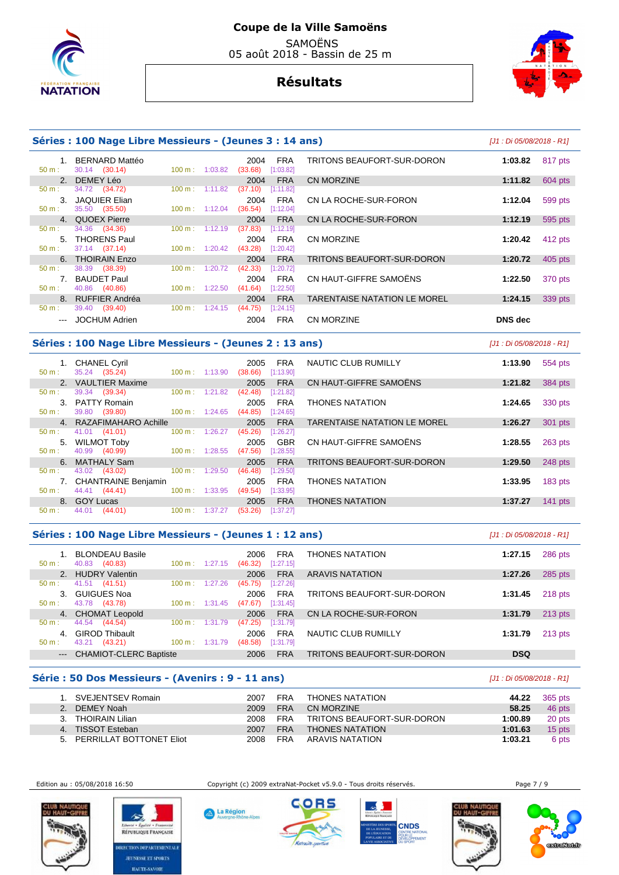



|                  | Séries : 100 Nage Libre Messieurs - (Jeunes 3 : 14 ans)         |                          |                                    |                         |                                     |         | [J1 : Di 05/08/2018 - R1] |  |
|------------------|-----------------------------------------------------------------|--------------------------|------------------------------------|-------------------------|-------------------------------------|---------|---------------------------|--|
| $1_{-}$          | BERNARD Mattéo                                                  |                          | 2004                               | <b>FRA</b>              | TRITONS BEAUFORT-SUR-DORON          | 1:03.82 | 817 pts                   |  |
| $50 m$ :         | 30.14 (30.14)                                                   | $100 \text{ m}: 1:03.82$ | (33.68)                            | [1:03.82]               |                                     |         |                           |  |
| 50 m:            | 2. DEMEY Léo<br>34.72 (34.72)                                   | $100 \text{ m}: 1:11.82$ | 2004<br>(37.10)                    | <b>FRA</b><br>[1:11.82] | CN MORZINE                          | 1:11.82 | 604 pts                   |  |
| $50 \text{ m}$ : | 3. JAQUIER Elian<br>35.50 (35.50)                               | $100 \text{ m}: 1:12.04$ | 2004<br>(36.54)                    | <b>FRA</b><br>[1:12.04] | CN LA ROCHE-SUR-FORON               | 1:12.04 | 599 pts                   |  |
|                  | 4. QUOEX Pierre                                                 |                          | 2004                               | <b>FRA</b>              | CN LA ROCHE-SUR-FORON               | 1:12.19 | 595 pts                   |  |
| 50 m:            | 34.36 (34.36)                                                   | 100 m: 1:12.19           | (37.83)                            | [1:12.19]               |                                     |         |                           |  |
|                  | 5. THORENS Paul                                                 |                          | 2004                               | <b>FRA</b>              | <b>CN MORZINE</b>                   | 1:20.42 | 412 pts                   |  |
| $50 \text{ m}$ : | 37.14 (37.14)                                                   | $100 \text{ m}: 1:20.42$ | (43.28)                            | [1:20.42]               |                                     |         |                           |  |
|                  | 6. THOIRAIN Enzo                                                |                          | 2004                               | <b>FRA</b>              | TRITONS BEAUFORT-SUR-DORON          | 1:20.72 | 405 pts                   |  |
| $50 m$ :         | 38.39 (38.39)                                                   | 100 m: 1:20.72           | (42.33)                            | $[1:20.72]$             |                                     |         |                           |  |
|                  | 7. BAUDET Paul                                                  |                          | 2004                               | <b>FRA</b>              | CN HAUT-GIFFRE SAMOËNS              | 1:22.50 | 370 pts                   |  |
| 50 m:            | 40.86 (40.86)                                                   | $100 \text{ m}: 1:22.50$ | (41.64)                            | [1:22.50]               |                                     |         |                           |  |
|                  | 8. RUFFIER Andréa                                               |                          | 2004                               | <b>FRA</b>              | <b>TARENTAISE NATATION LE MOREL</b> | 1:24.15 | 339 pts                   |  |
| 50 m:            | 39.40 (39.40)                                                   | $100 \text{ m}: 1:24.15$ | (44.75)                            | [1:24.15]               |                                     |         |                           |  |
|                  | --- JOCHUM Adrien                                               |                          | 2004                               | <b>FRA</b>              | <b>CN MORZINE</b>                   | DNS dec |                           |  |
|                  | $\overline{a}$ and $\overline{a}$ are the set of $\overline{a}$ |                          | $\sim$ $\sim$ $\sim$ $\sim$ $\sim$ |                         |                                     |         |                           |  |

## **Séries : 100 Nage Libre Messieurs - (Jeunes 2 : 13 ans)** [J1 : Di 05/08/2018 - R1]

| $50 m$ :         | 1. CHANEL Cyril<br>35.24 (35.24) |                   | $100 \text{ m}: 1:13.90$ | 2005<br>(38.66) | <b>FRA</b><br>[1:13.90] | NAUTIC CLUB RUMILLY                 | 1:13.90 | 554 pts   |
|------------------|----------------------------------|-------------------|--------------------------|-----------------|-------------------------|-------------------------------------|---------|-----------|
|                  | 2. VAULTIER Maxime               |                   |                          | 2005            | <b>FRA</b>              | CN HAUT-GIFFRE SAMOËNS              | 1:21.82 | 384 pts   |
| 50 m:            | 39.34<br>(39.34)                 | $100 \text{ m}$ : | 1:21.82                  | (42.48)         | [1:21.82]               |                                     |         |           |
|                  | 3. PATTY Romain                  |                   |                          | 2005            | <b>FRA</b>              | <b>THONES NATATION</b>              | 1:24.65 | 330 pts   |
| $50 m$ :         | 39.80<br>(39.80)                 | $100 \text{ m}$ : | 1:24.65                  | (44.85)         | [1:24.65]               |                                     |         |           |
|                  | 4. RAZAFIMAHARO Achille          |                   |                          | 2005            | <b>FRA</b>              | <b>TARENTAISE NATATION LE MOREL</b> | 1:26.27 | 301 pts   |
| $50 \text{ m}$ : | 41.01 (41.01)                    | $100 \text{ m}$ : | 1:26.27                  | (45.26)         | [1:26.27]               |                                     |         |           |
|                  | 5. WILMOT Toby                   |                   |                          | 2005            | <b>GBR</b>              | CN HAUT-GIFFRE SAMOËNS              | 1:28.55 | 263 pts   |
| $50 m$ :         | 40.99 (40.99)                    | $100 \text{ m}$ : | 1:28.55                  | (47.56)         | [1:28.55]               |                                     |         |           |
| 6                | MATHALY Sam                      |                   |                          | 2005            | <b>FRA</b>              | TRITONS BEAUFORT-SUR-DORON          | 1:29.50 | 248 pts   |
| 50 m:            | 43.02 (43.02)                    | $100 \text{ m}$ : | 1:29.50                  | (46.48)         | [1:29.50]               |                                     |         |           |
|                  | 7. CHANTRAINE Benjamin           |                   |                          | 2005            | <b>FRA</b>              | <b>THONES NATATION</b>              | 1:33.95 | $183$ pts |
| $50 m$ :         | 44.41<br>(44.41)                 | $100 \text{ m}$ : | 1:33.95                  | (49.54)         | [1:33.95]               |                                     |         |           |
|                  | 8. GOY Lucas                     |                   |                          | 2005            | <b>FRA</b>              | <b>THONES NATATION</b>              | 1:37.27 | $141$ pts |
| $50 m$ :         | 44.01<br>(44.01)                 | 100 m:            | 1:37.27                  | (53.26)         | [1:37.27]               |                                     |         |           |
|                  |                                  |                   |                          |                 |                         |                                     |         |           |

A La Région

|  | Séries : 100 Nage Libre Messieurs - (Jeunes 1 : 12 ans) |  |  | [J1 : Di 05/08/2018 - R1] |
|--|---------------------------------------------------------|--|--|---------------------------|
|--|---------------------------------------------------------|--|--|---------------------------|

| $50 \text{ m}$ : | <b>BLONDEAU Basile</b><br>(40.83)<br>40.83 | $100 \text{ m}: 1:27.15$     | <b>FRA</b><br>2006<br>[1:27.15]<br>(46.32) | <b>THONES NATATION</b>     | 286 pts<br>1:27.15   |
|------------------|--------------------------------------------|------------------------------|--------------------------------------------|----------------------------|----------------------|
| 2 <sub>1</sub>   | <b>HUDRY Valentin</b>                      |                              | <b>FRA</b><br>2006                         | <b>ARAVIS NATATION</b>     | 285 pts<br>1:27.26   |
| 50 m:            | 41.51<br>(41.51)                           | 100 m:<br>1:27.26            | [1:27.26]<br>(45.75)                       |                            |                      |
| 3.               | <b>GUIGUES Noa</b>                         |                              | <b>FRA</b><br>2006                         | TRITONS BEAUFORT-SUR-DORON | 218 pts<br>1:31.45   |
| 50 m:            | 43.78<br>(43.78)                           | $100 \text{ m}$ :<br>1:31.45 | [1:31.45]<br>(47.67)                       |                            |                      |
|                  | 4. CHOMAT Leopold                          |                              | <b>FRA</b><br>2006                         | CN LA ROCHE-SUR-FORON      | $213$ pts<br>1:31.79 |
| $50 \text{ m}$ : | 44.54<br>(44.54)                           | $100 m$ :<br>1:31.79         | [1:31.79]<br>(47.25)                       |                            |                      |
| 4.               | <b>GIROD Thibault</b>                      |                              | <b>FRA</b><br>2006                         | NAUTIC CLUB RUMILLY        | 1:31.79<br>$213$ pts |
| $50 m$ :         | 43.21<br>(43.21)                           | $100 \text{ m}$ :<br>1:31.79 | [1:31.79]<br>(48.58)                       |                            |                      |
| $---$            | <b>CHAMIOT-CLERC Baptiste</b>              |                              | <b>FRA</b><br>2006                         | TRITONS BEAUFORT-SUR-DORON | <b>DSQ</b>           |
|                  |                                            |                              |                                            |                            |                      |

## **Série : 50 Dos Messieurs - (Avenirs : 9 - 11 ans)** [J1 : Di 05/08/2018 - R1]

公

RÉPUBLIQUE FRANÇAISE TION DEPARTEMENTAL **JEUNESSE ET SPORTS HAUTE-SAVOIE** 

|    | 1. SVEJENTSEV Romain     | 2007 | <b>FRA</b> | <b>THONES NATATION</b>     | 44.22   | 365 pts |
|----|--------------------------|------|------------|----------------------------|---------|---------|
|    | DEMEY Noah               | 2009 | <b>FRA</b> | CN MORZINE                 | 58.25   | 46 pts  |
| 3. | THOIRAIN Lilian          | 2008 | <b>FRA</b> | TRITONS BEAUFORT-SUR-DORON | 1:00.89 | 20 pts  |
| 4. | <b>TISSOT Esteban</b>    | 2007 | <b>FRA</b> | <b>THONES NATATION</b>     | 1:01.63 | 15 pts  |
| 5. | PERRILLAT BOTTONET Eliot | 2008 | FRA        | ARAVIS NATATION            | 1:03.21 | 6 pts   |



Edition au : 05/08/2018 16:50 Copyright (c) 2009 extraNat-Pocket v5.9.0 - Tous droits réservés. Page 7 / 9





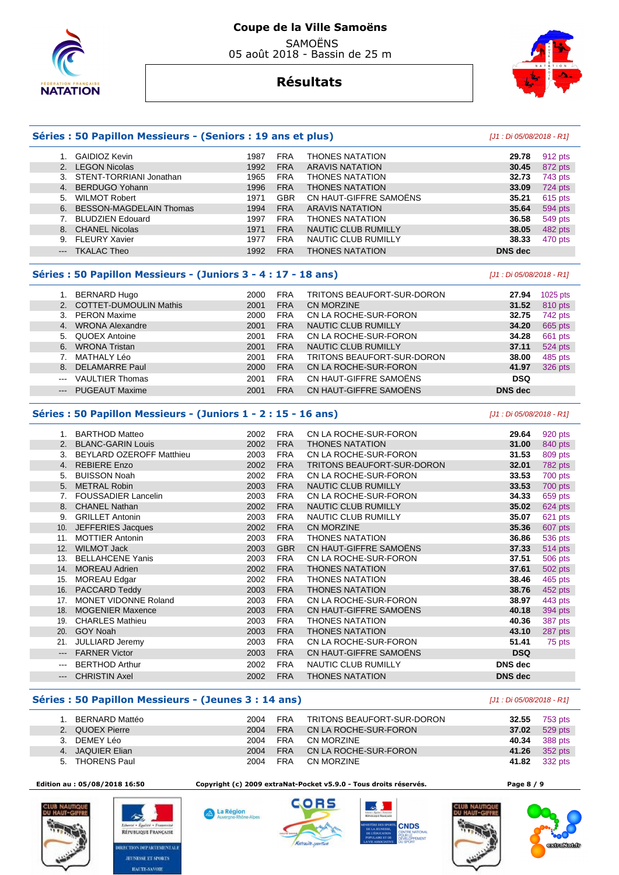



# **Séries : 50 Papillon Messieurs - (Seniors : 19 ans et plus)** [J1 : Di 05/08/2018 - R1]

|       | GAIDIOZ Kevin                  | 1987 | <b>FRA</b> | <b>THONES NATATION</b>     | 29.78          | 912 pts |
|-------|--------------------------------|------|------------|----------------------------|----------------|---------|
| 2.    | <b>LEGON Nicolas</b>           | 1992 | <b>FRA</b> | <b>ARAVIS NATATION</b>     | 30.45          | 872 pts |
|       | STENT-TORRIANI Jonathan        | 1965 | <b>FRA</b> | <b>THONES NATATION</b>     | 32.73          | 743 pts |
| 4.    | BERDUGO Yohann                 | 1996 | <b>FRA</b> | <b>THONES NATATION</b>     | 33.09          | 724 pts |
| 5.    | <b>WILMOT Robert</b>           | 1971 | GBR        | CN HAUT-GIFFRE SAMOËNS     | 35.21          | 615 pts |
| 6.    | <b>BESSON-MAGDELAIN Thomas</b> | 1994 | <b>FRA</b> | <b>ARAVIS NATATION</b>     | 35.64          | 594 pts |
|       | <b>BLUDZIEN Edouard</b>        | 1997 | <b>FRA</b> | <b>THONES NATATION</b>     | 36.58          | 549 pts |
| 8.    | <b>CHANEL Nicolas</b>          | 1971 | <b>FRA</b> | <b>NAUTIC CLUB RUMILLY</b> | 38.05          | 482 pts |
| 9.    | <b>FLEURY Xavier</b>           | 1977 | <b>FRA</b> | NAUTIC CLUB RUMILLY        | 38.33          | 470 pts |
| $---$ | <b>TKALAC Theo</b>             | 1992 | <b>FRA</b> | <b>THONES NATATION</b>     | <b>DNS</b> dec |         |
|       |                                |      |            |                            |                |         |

### **Séries : 50 Papillon Messieurs - (Juniors 3 - 4 : 17 - 18 ans)** [J1 : Di 05/08/2018 - R1]

|                        | 1. BERNARD Hugo           | 2000 | <b>FRA</b> | TRITONS BEAUFORT-SUR-DORON | 27.94          | 1025 pts |
|------------------------|---------------------------|------|------------|----------------------------|----------------|----------|
|                        | 2. COTTET-DUMOULIN Mathis | 2001 | <b>FRA</b> | CN MORZINE                 | 31.52          | 810 pts  |
|                        | 3. PERON Maxime           | 2000 | <b>FRA</b> | CN LA ROCHE-SUR-FORON      | 32.75          | 742 pts  |
| 4.                     | <b>WRONA Alexandre</b>    | 2001 | <b>FRA</b> | NAUTIC CLUB RUMILLY        | 34.20          | 665 pts  |
|                        | 5. QUOEX Antoine          | 2001 | <b>FRA</b> | CN LA ROCHE-SUR-FORON      | 34.28          | 661 pts  |
| 6.                     | <b>WRONA Tristan</b>      | 2001 | <b>FRA</b> | NAUTIC CLUB RUMILLY        | 37.11          | 524 pts  |
|                        | 7. MATHALY Léo            | 2001 | <b>FRA</b> | TRITONS BEAUFORT-SUR-DORON | 38.00          | 485 pts  |
|                        | 8. DELAMARRE Paul         | 2000 | <b>FRA</b> | CN LA ROCHE-SUR-FORON      | 41.97          | 326 pts  |
| $- - -$                | <b>VAULTIER Thomas</b>    | 2001 | <b>FRA</b> | CN HAUT-GIFFRE SAMOËNS     | <b>DSQ</b>     |          |
| $\qquad \qquad \cdots$ | <b>PUGEAUT Maxime</b>     | 2001 | <b>FRA</b> | CN HAUT-GIFFRE SAMOËNS     | <b>DNS</b> dec |          |

## **Séries : 50 Papillon Messieurs - (Juniors 1 - 2 : 15 - 16 ans)** [J1 : Di 05/08/2018 - R1]

|                     | 1. BARTHOD Matteo          | 2002 | <b>FRA</b> | CN LA ROCHE-SUR-FORON      | 29.64          | 920 pts        |
|---------------------|----------------------------|------|------------|----------------------------|----------------|----------------|
| 2.                  | <b>BLANC-GARIN Louis</b>   | 2002 | <b>FRA</b> | <b>THONES NATATION</b>     | 31.00          | 840 pts        |
| 3.                  | BEYLARD OZEROFF Matthieu   | 2003 | <b>FRA</b> | CN LA ROCHE-SUR-FORON      | 31.53          | 809 pts        |
| 4.                  | <b>REBIERE Enzo</b>        | 2002 | <b>FRA</b> | TRITONS BEAUFORT-SUR-DORON | 32.01          | 782 pts        |
| 5.                  | <b>BUISSON Noah</b>        | 2002 | <b>FRA</b> | CN LA ROCHE-SUR-FORON      | 33.53          | 700 pts        |
| 5.                  | <b>METRAL Robin</b>        | 2003 | <b>FRA</b> | NAUTIC CLUB RUMILLY        | 33.53          | 700 pts        |
| 7.                  | <b>FOUSSADIER Lancelin</b> | 2003 | <b>FRA</b> | CN LA ROCHE-SUR-FORON      | 34.33          | 659 pts        |
| 8.                  | <b>CHANEL Nathan</b>       | 2002 | <b>FRA</b> | NAUTIC CLUB RUMILLY        | 35.02          | 624 pts        |
| 9.                  | <b>GRILLET Antonin</b>     | 2003 | <b>FRA</b> | NAUTIC CLUB RUMILLY        | 35.07          | 621 pts        |
| 10.                 | JEFFERIES Jacques          | 2002 | <b>FRA</b> | <b>CN MORZINE</b>          | 35.36          | 607 pts        |
| 11.                 | <b>MOTTIER Antonin</b>     | 2003 | <b>FRA</b> | <b>THONES NATATION</b>     | 36.86          | 536 pts        |
| 12.                 | <b>WILMOT Jack</b>         | 2003 | <b>GBR</b> | CN HAUT-GIFFRE SAMOËNS     | 37.33          | <b>514 pts</b> |
| 13.                 | <b>BELLAHCENE Yanis</b>    | 2003 | <b>FRA</b> | CN LA ROCHE-SUR-FORON      | 37.51          | 506 pts        |
| 14.                 | <b>MOREAU Adrien</b>       | 2002 | <b>FRA</b> | <b>THONES NATATION</b>     | 37.61          | 502 pts        |
| 15.                 | <b>MOREAU Edgar</b>        | 2002 | <b>FRA</b> | <b>THONES NATATION</b>     | 38.46          | 465 pts        |
| 16.                 | PACCARD Teddy              | 2003 | <b>FRA</b> | <b>THONES NATATION</b>     | 38.76          | 452 pts        |
| 17.                 | MONET VIDONNE Roland       | 2003 | <b>FRA</b> | CN LA ROCHE-SUR-FORON      | 38.97          | 443 pts        |
| 18.                 | <b>MOGENIER Maxence</b>    | 2003 | <b>FRA</b> | CN HAUT-GIFFRE SAMOËNS     | 40.18          | 394 pts        |
| 19.                 | <b>CHARLES Mathieu</b>     | 2003 | <b>FRA</b> | <b>THONES NATATION</b>     | 40.36          | 387 pts        |
| 20.                 | GOY Noah                   | 2003 | <b>FRA</b> | <b>THONES NATATION</b>     | 43.10          | 287 pts        |
| 21.                 | <b>JULLIARD Jeremy</b>     | 2003 | <b>FRA</b> | CN LA ROCHE-SUR-FORON      | 51.41          | 75 pts         |
| $---$               | <b>FARNER Victor</b>       | 2003 | <b>FRA</b> | CN HAUT-GIFFRE SAMOËNS     | <b>DSQ</b>     |                |
| $\qquad \qquad -$   | <b>BERTHOD Arthur</b>      | 2002 | <b>FRA</b> | NAUTIC CLUB RUMILLY        | <b>DNS</b> dec |                |
| $\qquad \qquad - -$ | <b>CHRISTIN Axel</b>       | 2002 | <b>FRA</b> | <b>THONES NATATION</b>     | <b>DNS</b> dec |                |

## **Séries : 50 Papillon Messieurs - (Jeunes 3 : 14 ans)** [J1 : Di 05/08/2018 - R1]

勾

RÉPUBLIQUE FRANÇAISE **TON DEPARTEMENTAL JEUNESSE ET SPORTS HAUTE-SAVOIE** 

|    | BERNARD Mattéo   | 2004 | FRA        | TRITONS BEAUFORT-SUR-DORON | 32.55 | 753 pts |
|----|------------------|------|------------|----------------------------|-------|---------|
|    | 2. QUOEX Pierre  | 2004 | <b>FRA</b> | CN LA ROCHE-SUR-FORON      | 37.02 | 529 pts |
|    | 3. DEMEY Léo     | 2004 | <b>FRA</b> | CN MORZINE                 | 40.34 | 388 pts |
|    | 4. JAQUIER Elian | 2004 | <b>FRA</b> | CN LA ROCHE-SUR-FORON      | 41.26 | 352 pts |
| 5. | THORENS Paul     | 2004 | <b>FRA</b> | CN MORZINE                 | 41.82 | 332 pts |



 **Edition au : 05/08/2018 16:50 Copyright (c) 2009 extraNat-Pocket v5.9.0 - Tous droits réservés. Page 8 / 9** 

La Région